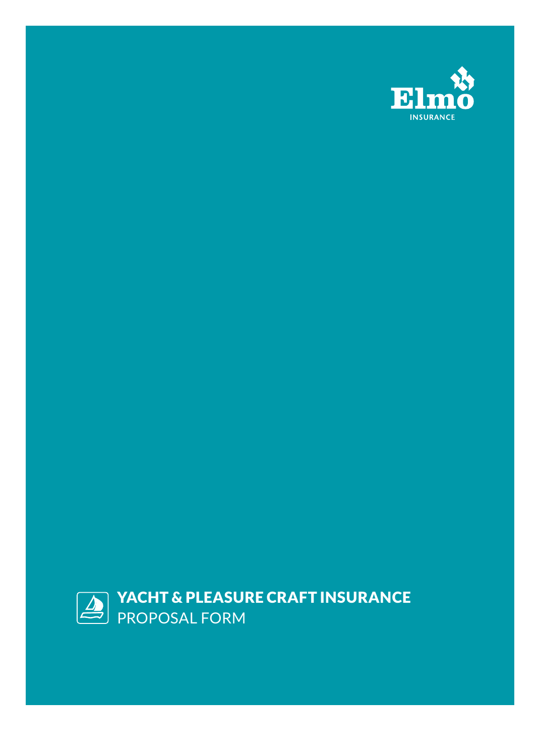

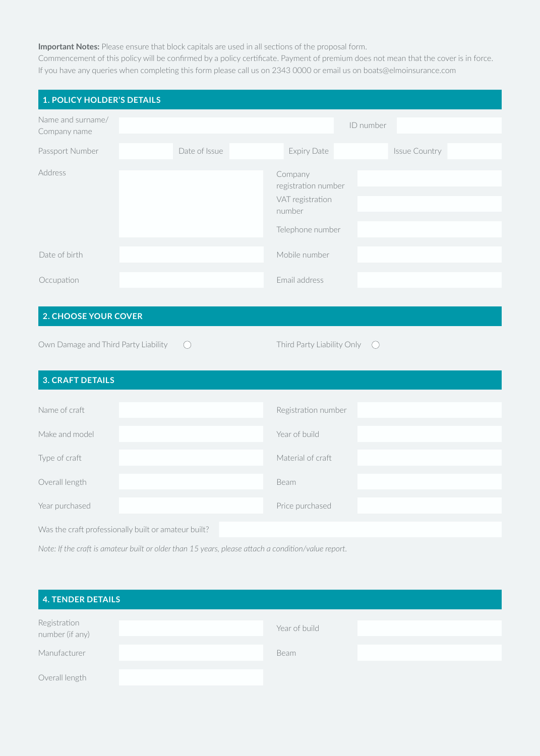#### **Important Notes:** Please ensure that block capitals are used in all sections of the proposal form.

Commencement of this policy will be confirmed by a policy certificate. Payment of premium does not mean that the cover is in force. If you have any queries when completing this form please call us on 2343 0000 or email us on boats@elmoinsurance.com

| <b>1. POLICY HOLDER'S DETAILS</b>                    |                                                                                                     |                                                                                  |               |
|------------------------------------------------------|-----------------------------------------------------------------------------------------------------|----------------------------------------------------------------------------------|---------------|
| Name and surname/<br>Company name                    |                                                                                                     |                                                                                  | ID number     |
| Passport Number                                      | Date of Issue                                                                                       | <b>Expiry Date</b>                                                               | Issue Country |
| Address                                              |                                                                                                     | Company<br>registration number<br>VAT registration<br>number<br>Telephone number |               |
| Date of birth                                        |                                                                                                     | Mobile number                                                                    |               |
| Occupation                                           |                                                                                                     | Email address                                                                    |               |
| 2. CHOOSE YOUR COVER                                 |                                                                                                     |                                                                                  |               |
| Own Damage and Third Party Liability                 | $\bigcirc$                                                                                          | Third Party Liability Only  O                                                    |               |
| <b>3. CRAFT DETAILS</b>                              |                                                                                                     |                                                                                  |               |
| Name of craft                                        |                                                                                                     | Registration number                                                              |               |
| Make and model                                       |                                                                                                     | Year of build                                                                    |               |
| Type of craft                                        |                                                                                                     | Material of craft                                                                |               |
| Overall length                                       |                                                                                                     | Beam                                                                             |               |
| Year purchased                                       |                                                                                                     | Price purchased                                                                  |               |
| Was the craft professionally built or amateur built? |                                                                                                     |                                                                                  |               |
|                                                      | Note: If the craft is amateur built or older than 15 years, please attach a condition/value report. |                                                                                  |               |

| 4. TENDER DETAILS               |               |  |
|---------------------------------|---------------|--|
| Registration<br>number (if any) | Year of build |  |
| Manufacturer                    | Beam          |  |
| Overall length                  |               |  |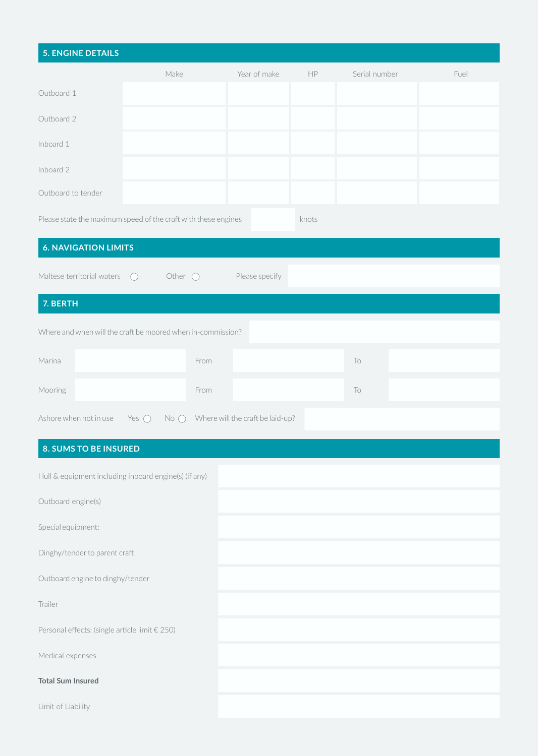| <b>5. ENGINE DETAILS</b>                       |                                                                |                                  |       |               |      |
|------------------------------------------------|----------------------------------------------------------------|----------------------------------|-------|---------------|------|
|                                                | Make                                                           | Year of make                     | HP    | Serial number | Fuel |
| Outboard 1                                     |                                                                |                                  |       |               |      |
| Outboard 2                                     |                                                                |                                  |       |               |      |
| Inboard 1                                      |                                                                |                                  |       |               |      |
| Inboard 2                                      |                                                                |                                  |       |               |      |
| Outboard to tender                             |                                                                |                                  |       |               |      |
|                                                | Please state the maximum speed of the craft with these engines |                                  | knots |               |      |
| <b>6. NAVIGATION LIMITS</b>                    |                                                                |                                  |       |               |      |
| Maltese territorial waters                     | Other $\bigcirc$<br>$\bigcirc$                                 | Please specify                   |       |               |      |
| 7. BERTH                                       |                                                                |                                  |       |               |      |
|                                                | Where and when will the craft be moored when in-commission?    |                                  |       |               |      |
| Marina                                         | From                                                           |                                  |       | To            |      |
|                                                |                                                                |                                  |       |               |      |
| Mooring                                        | From                                                           |                                  |       | To            |      |
| Ashore when not in use                         | Yes $\bigcirc$<br>$No$ $\bigcirc$                              | Where will the craft be laid-up? |       |               |      |
| <b>8. SUMS TO BE INSURED</b>                   |                                                                |                                  |       |               |      |
|                                                | Hull & equipment including inboard engine(s) (if any)          |                                  |       |               |      |
| Outboard engine(s)                             |                                                                |                                  |       |               |      |
| Special equipment:                             |                                                                |                                  |       |               |      |
| Dinghy/tender to parent craft                  |                                                                |                                  |       |               |      |
| Outboard engine to dinghy/tender               |                                                                |                                  |       |               |      |
| Trailer                                        |                                                                |                                  |       |               |      |
| Personal effects: (single article limit € 250) |                                                                |                                  |       |               |      |
| Medical expenses                               |                                                                |                                  |       |               |      |
| <b>Total Sum Insured</b>                       |                                                                |                                  |       |               |      |
| Limit of Liability                             |                                                                |                                  |       |               |      |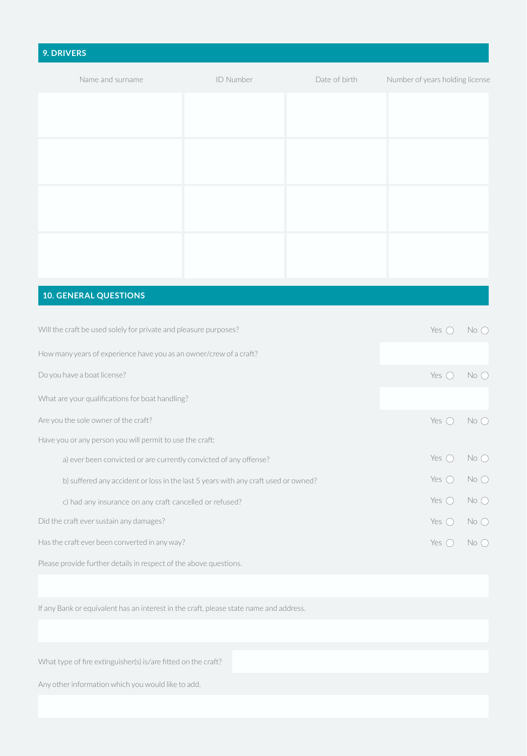# **9. DRIVERS** Name and surname **ID Number** ID Number **Date of birth** Number of years holding license

### **10. GENERAL QUESTIONS**

| Will the craft be used solely for private and pleasure purposes?                   |  |  | Yes $\bigcap$  | $No$ $\bigcap$  |
|------------------------------------------------------------------------------------|--|--|----------------|-----------------|
| How many years of experience have you as an owner/crew of a craft?                 |  |  |                |                 |
| Do you have a boat license?                                                        |  |  | Yes $\bigcap$  | $No$ $O$        |
| What are your qualifications for boat handling?                                    |  |  |                |                 |
| Are you the sole owner of the craft?                                               |  |  | Yes $\bigcap$  | $No$ $\bigcap$  |
| Have you or any person you will permit to use the craft:                           |  |  |                |                 |
| a) ever been convicted or are currently convicted of any offense?                  |  |  | Yes $\bigcap$  | $No$ $\bigcap$  |
| b) suffered any accident or loss in the last 5 years with any craft used or owned? |  |  | Yes $\bigcap$  | $No$ $\bigcap$  |
| c) had any insurance on any craft cancelled or refused?                            |  |  | Yes $\bigcirc$ | $No$ $\bigcirc$ |
| Did the craft ever sustain any damages?                                            |  |  | Yes $\bigcap$  | $No$ $O$        |
| Has the craft ever been converted in any way?                                      |  |  | Yes $\bigcirc$ | $No$ $\bigcirc$ |
| Please provide further details in respect of the above questions.                  |  |  |                |                 |

If any Bank or equivalent has an interest in the craft, please state name and address.

What type of fire extinguisher(s) is/are fitted on the craft?

Any other information which you would like to add.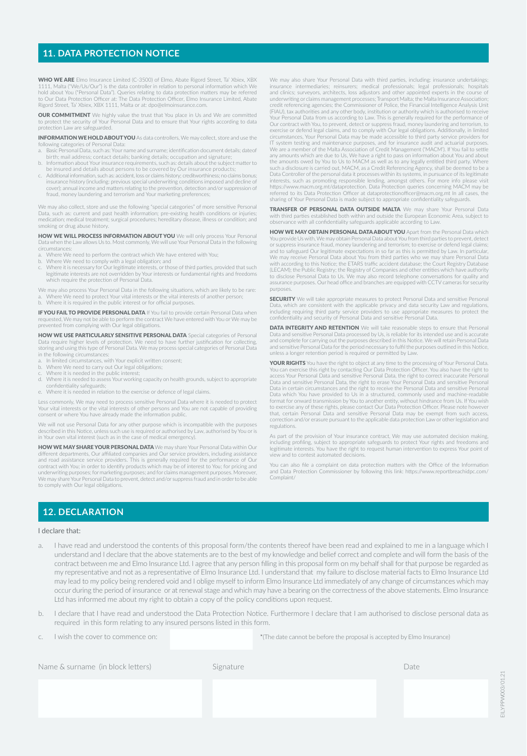#### **11. DATA PROTECTION NOTICE**

WHO WE ARE Elmo Insurance Limited (C-3500) of Elmo, Abate Rigord Street, Ta' Xbiex, XBX 1111, Malta ("We/Us/Our") is the data controller in relation to personal information which We<br>hold about You ("Personal Data"). Queries relating to data protection matters may be referred<br>to Our Data Protection Officer at: Rigord Street, Ta' Xbiex, XBX 1111, Malta or at: dpo@elmoinsurance.com.

OUR COMMITMENT We highly value the trust that You place in Us and We are committed to protect the security of Your Personal Data and to ensure that Your rights according to data protection Law are safeguarded.

INFORMATION WE HOLD ABOUT YOU As data controllers, We may collect, store and use the ing categories of Personal Data

- a. Basic Personal Data, such as: Your name and surname; identification document details; dateof birth; mail address; contact details; banking details; occupation and signature; b. Information about Your insurance requirements, such as: details about the subject matter to
- be insured and details about persons to be covered by Our insurance products;
- c. Additional information, such as: accident, loss or claims history; creditworthiness; no claims bonus; insurance history (including: previous special underwriting conditions imposed and decline of cover); annual income and matters relating to the prevention, detection and/or suppression of fraud, money laundering and terrorism and Your marketing preferences;

We may also collect, store and use the following "special categories" of more sensitive Personal<br>Data, such as: current and past health information; pre-existing health conditions or injuries;<br>medication; medical treatment smoking or drug abuse history

**HOW WE WILL PROCESS INFORMATION ABOUT YOU** We will only process Your Personal<br>Data when the Law allows Us to. Most commonly, We will use Your Personal Data in the following circumstances:

- a. Where We need to perform the contract which We have entered with You;<br>b. Where We need to comply with a legal obligation: and
- 
- b. Where We need to comply with a legal obligation; and c. Where it is necessary for Our legitimate interests, or those of third parties, provided that such legitimate interests are not overridden by Your interests or fundamental rights and freedoms which require the protection of Personal Data.

We may also process Your Personal Data in the following situations, which are likely to be rare:<br>a. Where We need to protect Your vital interests or the vital interests of another person;<br>b. Where it is required in the

**IF YOU FAIL TO PROVIDE PERSONAL DATA** If You fail to provide certain Personal Data when requested, We may not be able to perform the contract We have entered with You or We may be prevented from complying with Our legal obligations.

HOW WE USE PARTICULARLY SENSITIVE PERSONAL DATA Special categories of Personal Data require higher levels of protection. We need to have further justification for collecting, storing and using this type of Personal Data. We may process special categories of Personal Data in the following circumstances:

- a. In limited circumstances, with Your explicit written consent;
- b. Where We need to carry out Our legal obligations; c. Where it is needed in the public interest;
- 
- d. Where it is needed to assess Your working capacity on health grounds, subject to appropriate confidentiality safeguards;
- e. Where it is needed in relation to the exercise or defense of legal claims.

Less commonly, We may need to process sensitive Personal Data where it is needed to protect Your vital interests or the vital interests of other persons and You are not capable of providing consent or where You have already made the information public.

We will not use Personal Data for any other purpose which is incompatible with the purposes described in this Notice, unless such use is required or authorised by Law, authorised by You or is in Your own vital interest (such as in the case of medical emergency).

HOW WE MAY SHARE YOUR PERSONAL DATA We may share Your Personal Data within Our different departments, Our affiliated companies and Our service providers, including assistance and road assistance service providers. This is generally required for the performance of Our contract with You; in order to identify products which may be of interest to You; for pricing and underwriting purposes; for marketing purposes; and for claims management purposes. Moreover, We may share Your Personal Data to prevent, detect and/or suppress fraud and in order to be able to comply with Our legal obligations.

We may also share Your Personal Data with third parties, including: insurance undertakings; insurance intermediaries; reinsurers; medical professionals; legal professionals; hospitals and clinics; surveyors, architects, loss adjustors and other appointed experts in the course of underwriting or claims management processes; Transport Malta; the Malta Insurance Association; credit referencing agencies; the Commissioner of Police, the Financial Intelligence Analysis Unit (FIAU), tax authorities and any other body, institution or authority which is authorised to receive<br>Your Personal Data from us according to Law. This is generally required for the performance of<br>Our contract with You, to p exercise or defend legal claims, and to comply with Our legal obligations. Additionally, in limited circumstances, Your Personal Data may be made accessible to third party service providers for IT system testing and maintenance purposes, and for insurance audit and actuarial purposes. We are a member of the Malta Association of Credit Management ('MACM'). If You fail to settle any amounts which are due to Us, We have a right to pass on information about You and about the amounts owed by You to Us to MACM as well as to any legally entitled third party. Where such a disclosure is carried out, MACM, as a Credit Referencing Agency, shall be deemed to be a Data Controller of the personal data it processes within its systems, in pursuance of its legitimate interests, such as promoting responsible lending, amongst others. For more info please visit https://www.macm.org.mt/dataprotection. Data Protection queries concerning MACM may be referred to its Data Protection Officer at dataprotectionofficer@macm.org.mt In all cases, the sharing of Your Personal Data is made subject to appropriate confidentiality safeguards.

TRANSFER OF PERSONAL DATA OUTSIDE MALTA We may share Your Personal Data with third parties established both within and outside the European Economic Area, subject to observance with all confidentiality safeguards applicable according to Law.

HOW WE MAY OBTAIN PERSONAL DATA ABOUT YOU Apart from the Personal Data which You provide Us with, We may obtain Personal Data about You from third parties to prevent, detect or suppress insurance fraud, money laundering and terrorism; to exercise or defend legal claims; and to safeguard Our legitimate expectations in so far as this is permitted by Law. In particular,<br>We may receive Personal Data about You from third parties who we may share Personal Data with according to this Notice; the ETARS traffic accident database; the Court Registry Database<br>(LECAM); the Public Registry; the Registry of Companies and other entities which have authority<br>to disclose Personal Data to U assurance purposes. Our head office and branches are equipped with CCTV cameras for security purpose:

SECURITY We will take appropriate measures to protect Personal Data and sensitive Personal Data, which are consistent with the applicable privacy and data security Law and regulations, including requiring third party service providers to use appropriate measures to protect the confidentiality and security of Personal Data and sensitive Personal Data.

DATA INTEGRITY AND RETENTION We will take reasonable steps to ensure that Personal Data and sensitive Personal Data processed by Us, is reliable for its intended use and is accurate and complete for carrying out the purposes described in this Notice. We will retain Personal Data and sensitive Personal Data for the period necessary to fulfil the purposes outlined in this Notice, unless a longer retention period is required or permitted by Law.

YOUR RIGHTS You have the right to object at any time to the processing of Your Personal Data. You can exercise this right by contacting Our Data Protection Officer. You also have the right to access Your Personal Data and sensitive Personal Data, the right to correct inaccurate Personal Data and sensitive Personal Data, the right to erase Your Personal Data and sensitive Personal<br>Data in certain circumstances and the right to receive the Personal Data and sensitive Personal<br>Data which You have provided to format for onward transmission by You to another entity, without hindrance from Us. If You wish<br>to exercise any of these rights, please contact Our Data Protection Officer. Please note however<br>that, certain Personal Data a correction and/or erasure pursuant to the applicable data protection Law or other legislation and regulations.

As part of the provision of Your insurance contract, We may use automated decision making, including profiling, subject to appropriate safeguards to protect Your rights and freedoms and legitimate interests. You have the right to request human intervention to express Your point of view and to contest automated decisions.

You can also file a complaint on data protection matters with the Office of the Information and Data Protection Commissioner by following this link: https://www.reportbreachidpc.com/ Complaint/

#### **12. DECLARATION**

#### I declare that:

- a. I have read and understood the contents of this proposal form/the contents thereof have been read and explained to me in a language which I understand and I declare that the above statements are to the best of my knowledge and belief correct and complete and will form the basis of the contract between me and Elmo Insurance Ltd. I agree that any person filling in this proposal form on my behalf shall for that purpose be regarded as my representative and not as a representative of Elmo Insurance Ltd. I understand that my failure to disclose material facts to Elmo Insurance Ltd may lead to my policy being rendered void and I oblige myself to inform Elmo Insurance Ltd immediately of any change of circumstances which may occur during the period of insurance or at renewal stage and which may have a bearing on the correctness of the above statements. Elmo Insurance Ltd has informed me about my right to obtain a copy of the policy conditions upon request.
- b. I declare that I have read and understood the Data Protection Notice. Furthermore I declare that I am authorised to disclose personal data as required in this form relating to any insured persons listed in this form.

c. I wish the cover to commence on:

\*(The date cannot be before the proposal is accepted by Elmo Insurance)

| Name & surname (in block letters) | Signature | Date |
|-----------------------------------|-----------|------|
|-----------------------------------|-----------|------|